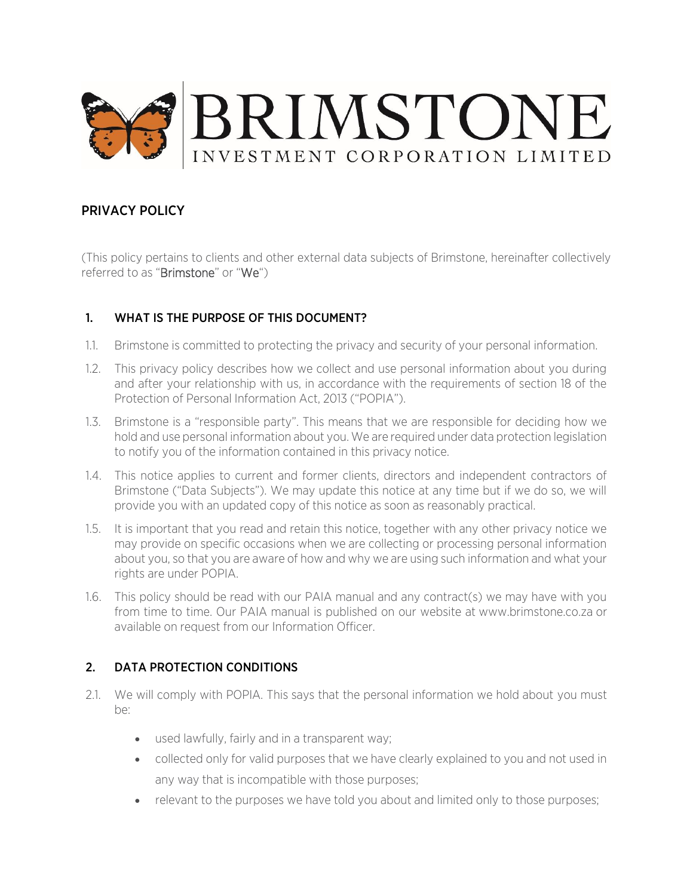

## PRIVACY POLICY

(This policy pertains to clients and other external data subjects of Brimstone, hereinafter collectively referred to as "Brimstone" or "We")

#### 1. WHAT IS THE PURPOSE OF THIS DOCUMENT?

- 1.1. Brimstone is committed to protecting the privacy and security of your personal information.
- 1.2. This privacy policy describes how we collect and use personal information about you during and after your relationship with us, in accordance with the requirements of section 18 of the Protection of Personal Information Act, 2013 ("POPIA").
- 1.3. Brimstone is a "responsible party". This means that we are responsible for deciding how we hold and use personal information about you. We are required under data protection legislation to notify you of the information contained in this privacy notice.
- 1.4. This notice applies to current and former clients, directors and independent contractors of Brimstone ("Data Subjects"). We may update this notice at any time but if we do so, we will provide you with an updated copy of this notice as soon as reasonably practical.
- 1.5. It is important that you read and retain this notice, together with any other privacy notice we may provide on specific occasions when we are collecting or processing personal information about you, so that you are aware of how and why we are using such information and what your rights are under POPIA.
- 1.6. This policy should be read with our PAIA manual and any contract(s) we may have with you from time to time. Our PAIA manual is published on our website at [www.b](https://www.remgro.com/paia/)rimstone.co.za or available on request from our Information Officer.

### 2. DATA PROTECTION CONDITIONS

- 2.1. We will comply with POPIA. This says that the personal information we hold about you must be:
	- used lawfully, fairly and in a transparent way;
	- collected only for valid purposes that we have clearly explained to you and not used in any way that is incompatible with those purposes;
	- relevant to the purposes we have told you about and limited only to those purposes;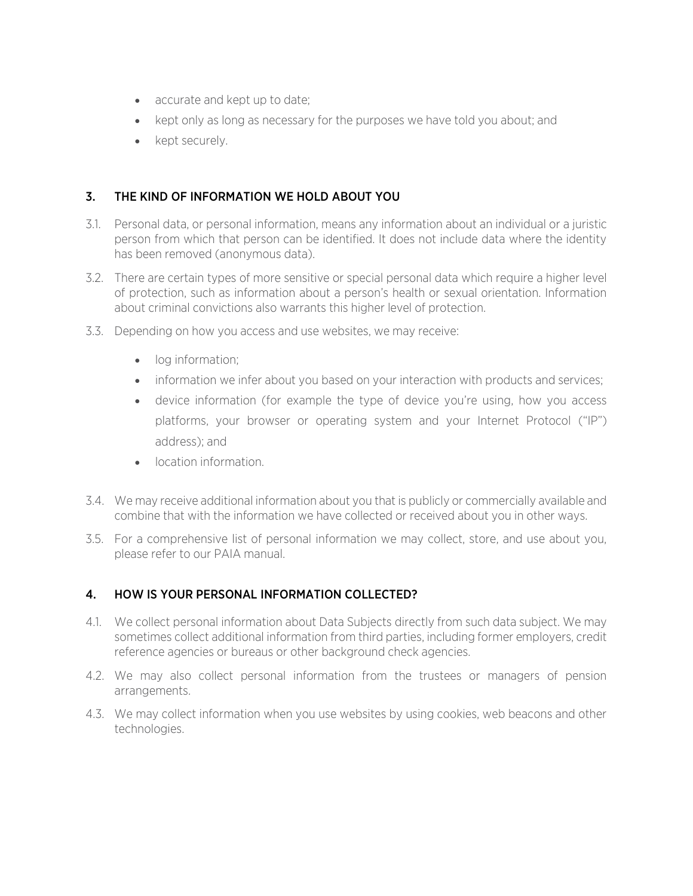- accurate and kept up to date;
- kept only as long as necessary for the purposes we have told you about; and
- kept securely.

### 3. THE KIND OF INFORMATION WE HOLD ABOUT YOU

- 3.1. Personal data, or personal information, means any information about an individual or a juristic person from which that person can be identified. It does not include data where the identity has been removed (anonymous data).
- 3.2. There are certain types of more sensitive or special personal data which require a higher level of protection, such as information about a person's health or sexual orientation. Information about criminal convictions also warrants this higher level of protection.
- 3.3. Depending on how you access and use websites, we may receive:
	- log information;
	- information we infer about you based on your interaction with products and services;
	- device information (for example the type of device you're using, how you access platforms, your browser or operating system and your Internet Protocol ("IP") address); and
	- **•** location information
- 3.4. We may receive additional information about you that is publicly or commercially available and combine that with the information we have collected or received about you in other ways.
- 3.5. For a comprehensive list of personal information we may collect, store, and use about you, please refer to our PAIA manual.

### 4. HOW IS YOUR PERSONAL INFORMATION COLLECTED?

- 4.1. We collect personal information about Data Subjects directly from such data subject. We may sometimes collect additional information from third parties, including former employers, credit reference agencies or bureaus or other background check agencies.
- 4.2. We may also collect personal information from the trustees or managers of pension arrangements.
- 4.3. We may collect information when you use websites by using cookies, web beacons and other technologies.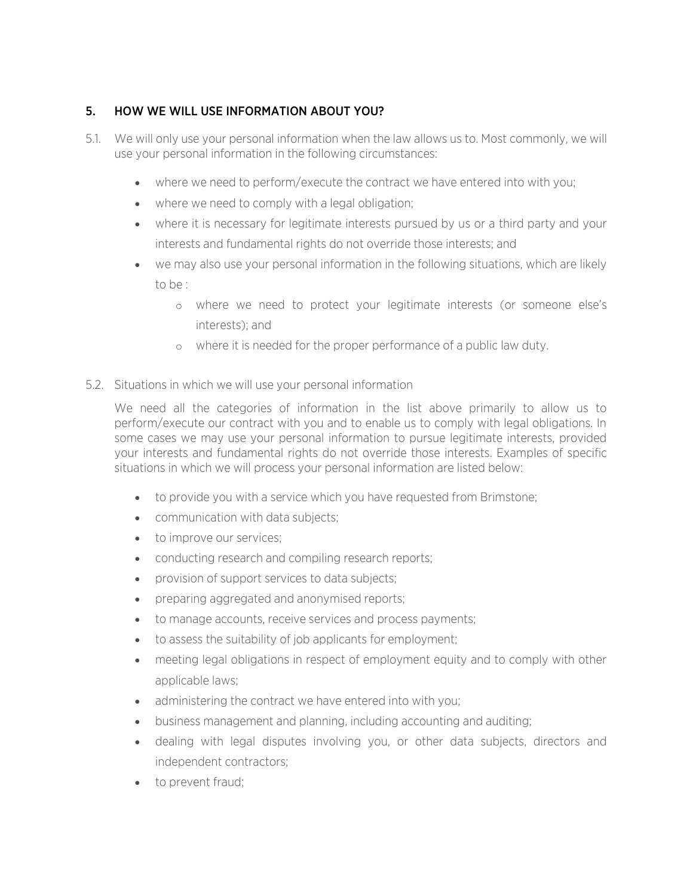## 5. HOW WE WILL USE INFORMATION ABOUT YOU?

- 5.1. We will only use your personal information when the law allows us to. Most commonly, we will use your personal information in the following circumstances:
	- where we need to perform/execute the contract we have entered into with you;
	- where we need to comply with a legal obligation;
	- where it is necessary for legitimate interests pursued by us or a third party and your interests and fundamental rights do not override those interests; and
	- we may also use your personal information in the following situations, which are likely to be :
		- o where we need to protect your legitimate interests (or someone else's interests); and
		- o where it is needed for the proper performance of a public law duty.
- 5.2. Situations in which we will use your personal information

We need all the categories of information in the list above primarily to allow us to perform/execute our contract with you and to enable us to comply with legal obligations. In some cases we may use your personal information to pursue legitimate interests, provided your interests and fundamental rights do not override those interests. Examples of specific situations in which we will process your personal information are listed below:

- to provide you with a service which you have requested from Brimstone;
- communication with data subjects:
- to improve our services;
- conducting research and compiling research reports;
- provision of support services to data subjects;
- preparing aggregated and anonymised reports;
- to manage accounts, receive services and process payments;
- to assess the suitability of job applicants for employment;
- meeting legal obligations in respect of employment equity and to comply with other applicable laws;
- administering the contract we have entered into with you;
- business management and planning, including accounting and auditing;
- dealing with legal disputes involving you, or other data subjects, directors and independent contractors;
- to prevent fraud: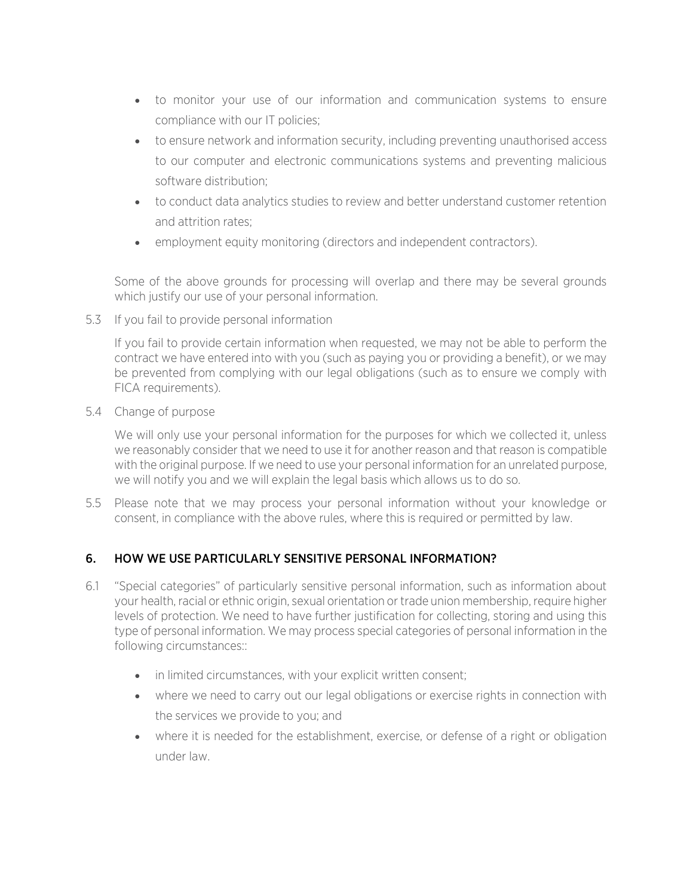- to monitor your use of our information and communication systems to ensure compliance with our IT policies;
- to ensure network and information security, including preventing unauthorised access to our computer and electronic communications systems and preventing malicious software distribution;
- to conduct data analytics studies to review and better understand customer retention and attrition rates;
- employment equity monitoring (directors and independent contractors).

Some of the above grounds for processing will overlap and there may be several grounds which justify our use of your personal information.

5.3 If you fail to provide personal information

If you fail to provide certain information when requested, we may not be able to perform the contract we have entered into with you (such as paying you or providing a benefit), or we may be prevented from complying with our legal obligations (such as to ensure we comply with FICA requirements).

5.4 Change of purpose

We will only use your personal information for the purposes for which we collected it, unless we reasonably consider that we need to use it for another reason and that reason is compatible with the original purpose. If we need to use your personal information for an unrelated purpose, we will notify you and we will explain the legal basis which allows us to do so.

5.5 Please note that we may process your personal information without your knowledge or consent, in compliance with the above rules, where this is required or permitted by law.

## 6. HOW WE USE PARTICULARLY SENSITIVE PERSONAL INFORMATION?

- 6.1 "Special categories" of particularly sensitive personal information, such as information about your health, racial or ethnic origin, sexual orientation or trade union membership, require higher levels of protection. We need to have further justification for collecting, storing and using this type of personal information. We may process special categories of personal information in the following circumstances::
	- in limited circumstances, with your explicit written consent;
	- where we need to carry out our legal obligations or exercise rights in connection with the services we provide to you; and
	- where it is needed for the establishment, exercise, or defense of a right or obligation under law.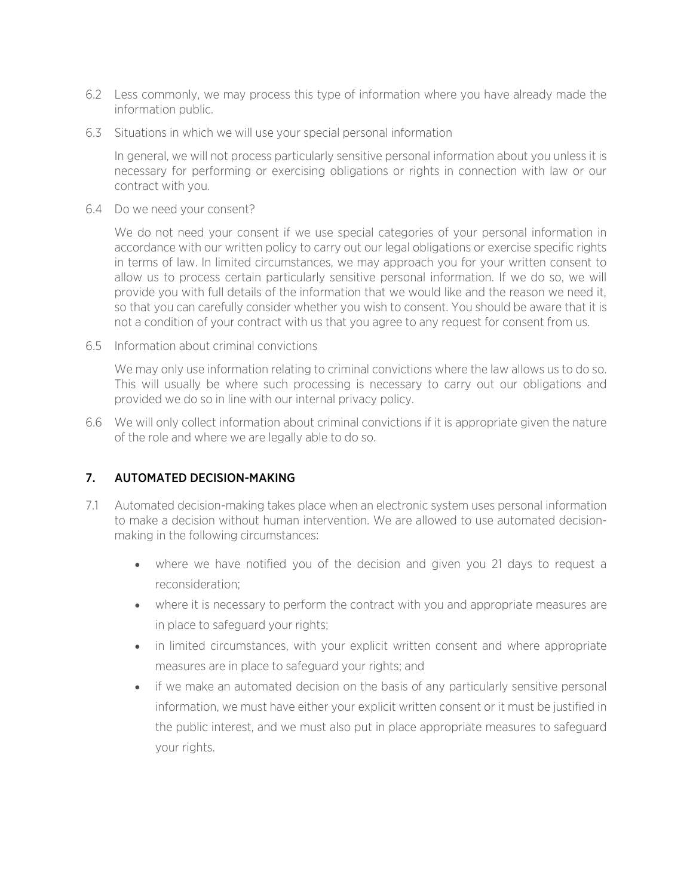- 6.2 Less commonly, we may process this type of information where you have already made the information public.
- 6.3 Situations in which we will use your special personal information

In general, we will not process particularly sensitive personal information about you unless it is necessary for performing or exercising obligations or rights in connection with law or our contract with you.

6.4 Do we need your consent?

We do not need your consent if we use special categories of your personal information in accordance with our written policy to carry out our legal obligations or exercise specific rights in terms of law. In limited circumstances, we may approach you for your written consent to allow us to process certain particularly sensitive personal information. If we do so, we will provide you with full details of the information that we would like and the reason we need it, so that you can carefully consider whether you wish to consent. You should be aware that it is not a condition of your contract with us that you agree to any request for consent from us.

6.5 Information about criminal convictions

We may only use information relating to criminal convictions where the law allows us to do so. This will usually be where such processing is necessary to carry out our obligations and provided we do so in line with our internal privacy policy.

6.6 We will only collect information about criminal convictions if it is appropriate given the nature of the role and where we are legally able to do so.

#### 7. AUTOMATED DECISION-MAKING

- 7.1 Automated decision-making takes place when an electronic system uses personal information to make a decision without human intervention. We are allowed to use automated decisionmaking in the following circumstances:
	- where we have notified you of the decision and given you 21 days to request a reconsideration;
	- where it is necessary to perform the contract with you and appropriate measures are in place to safeguard your rights;
	- in limited circumstances, with your explicit written consent and where appropriate measures are in place to safeguard your rights; and
	- if we make an automated decision on the basis of any particularly sensitive personal information, we must have either your explicit written consent or it must be justified in the public interest, and we must also put in place appropriate measures to safeguard your rights.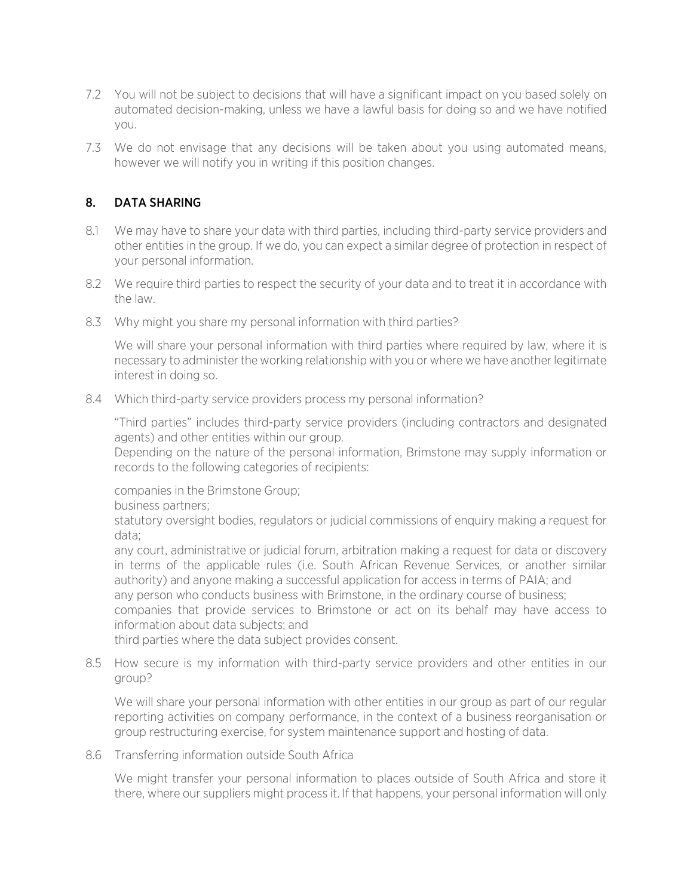- 7.2 You will not be subject to decisions that will have a significant impact on you based solely on automated decision-making, unless we have a lawful basis for doing so and we have notified you.
- 7.3 We do not envisage that any decisions will be taken about you using automated means, however we will notify you in writing if this position changes.

### 8. DATA SHARING

- 8.1 We may have to share your data with third parties, including third-party service providers and other entities in the group. If we do, you can expect a similar degree of protection in respect of your personal information.
- 8.2 We require third parties to respect the security of your data and to treat it in accordance with the law.
- 8.3 Why might you share my personal information with third parties?

We will share your personal information with third parties where required by law, where it is necessary to administer the working relationship with you or where we have another legitimate interest in doing so.

8.4 Which third-party service providers process my personal information?

"Third parties" includes third-party service providers (including contractors and designated agents) and other entities within our group.

Depending on the nature of the personal information, Brimstone may supply information or records to the following categories of recipients:

companies in the Brimstone Group;

business partners;

statutory oversight bodies, regulators or judicial commissions of enquiry making a request for data;

any court, administrative or judicial forum, arbitration making a request for data or discovery in terms of the applicable rules (i.e. South African Revenue Services, or another similar authority) and anyone making a successful application for access in terms of PAIA; and any person who conducts business with Brimstone, in the ordinary course of business; companies that provide services to Brimstone or act on its behalf may have access to information about data subjects; and

third parties where the data subject provides consent.

8.5 How secure is my information with third-party service providers and other entities in our group?

We will share your personal information with other entities in our group as part of our regular reporting activities on company performance, in the context of a business reorganisation or group restructuring exercise, for system maintenance support and hosting of data.

8.6 Transferring information outside South Africa

We might transfer your personal information to places outside of South Africa and store it there, where our suppliers might process it. If that happens, your personal information will only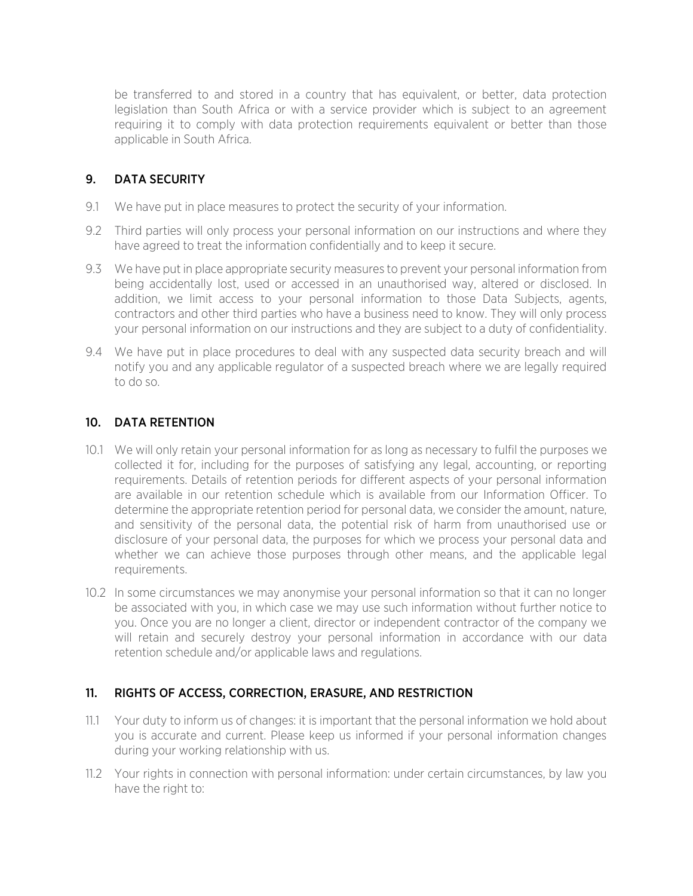be transferred to and stored in a country that has equivalent, or better, data protection legislation than South Africa or with a service provider which is subject to an agreement requiring it to comply with data protection requirements equivalent or better than those applicable in South Africa.

### 9. DATA SECURITY

- 9.1 We have put in place measures to protect the security of your information.
- 9.2 Third parties will only process your personal information on our instructions and where they have agreed to treat the information confidentially and to keep it secure.
- 9.3 We have put in place appropriate security measures to prevent your personal information from being accidentally lost, used or accessed in an unauthorised way, altered or disclosed. In addition, we limit access to your personal information to those Data Subjects, agents, contractors and other third parties who have a business need to know. They will only process your personal information on our instructions and they are subject to a duty of confidentiality.
- 9.4 We have put in place procedures to deal with any suspected data security breach and will notify you and any applicable regulator of a suspected breach where we are legally required to do so.

#### 10. DATA RETENTION

- 10.1 We will only retain your personal information for as long as necessary to fulfil the purposes we collected it for, including for the purposes of satisfying any legal, accounting, or reporting requirements. Details of retention periods for different aspects of your personal information are available in our retention schedule which is available from our Information Officer. To determine the appropriate retention period for personal data, we consider the amount, nature, and sensitivity of the personal data, the potential risk of harm from unauthorised use or disclosure of your personal data, the purposes for which we process your personal data and whether we can achieve those purposes through other means, and the applicable legal requirements.
- 10.2 In some circumstances we may anonymise your personal information so that it can no longer be associated with you, in which case we may use such information without further notice to you. Once you are no longer a client, director or independent contractor of the company we will retain and securely destroy your personal information in accordance with our data retention schedule and/or applicable laws and regulations.

### 11. RIGHTS OF ACCESS, CORRECTION, ERASURE, AND RESTRICTION

- 11.1 Your duty to inform us of changes: it is important that the personal information we hold about you is accurate and current. Please keep us informed if your personal information changes during your working relationship with us.
- 11.2 Your rights in connection with personal information: under certain circumstances, by law you have the right to: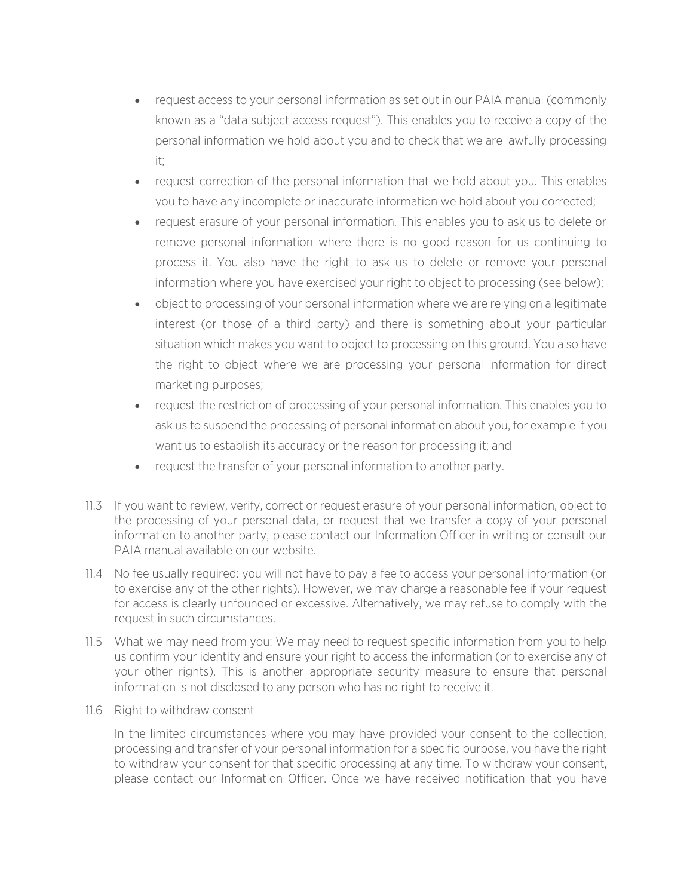- request access to your personal information as set out in our PAIA manual (commonly known as a "data subject access request"). This enables you to receive a copy of the personal information we hold about you and to check that we are lawfully processing it;
- request correction of the personal information that we hold about you. This enables you to have any incomplete or inaccurate information we hold about you corrected;
- request erasure of your personal information. This enables you to ask us to delete or remove personal information where there is no good reason for us continuing to process it. You also have the right to ask us to delete or remove your personal information where you have exercised your right to object to processing (see below);
- object to processing of your personal information where we are relying on a legitimate interest (or those of a third party) and there is something about your particular situation which makes you want to object to processing on this ground. You also have the right to object where we are processing your personal information for direct marketing purposes;
- request the restriction of processing of your personal information. This enables you to ask us to suspend the processing of personal information about you, for example if you want us to establish its accuracy or the reason for processing it; and
- request the transfer of your personal information to another party.
- 11.3 If you want to review, verify, correct or request erasure of your personal information, object to the processing of your personal data, or request that we transfer a copy of your personal information to another party, please contact our Information Officer in writing or consult our PAIA manual available on our website.
- 11.4 No fee usually required: you will not have to pay a fee to access your personal information (or to exercise any of the other rights). However, we may charge a reasonable fee if your request for access is clearly unfounded or excessive. Alternatively, we may refuse to comply with the request in such circumstances.
- 11.5 What we may need from you: We may need to request specific information from you to help us confirm your identity and ensure your right to access the information (or to exercise any of your other rights). This is another appropriate security measure to ensure that personal information is not disclosed to any person who has no right to receive it.
- 11.6 Right to withdraw consent

In the limited circumstances where you may have provided your consent to the collection, processing and transfer of your personal information for a specific purpose, you have the right to withdraw your consent for that specific processing at any time. To withdraw your consent, please contact our Information Officer. Once we have received notification that you have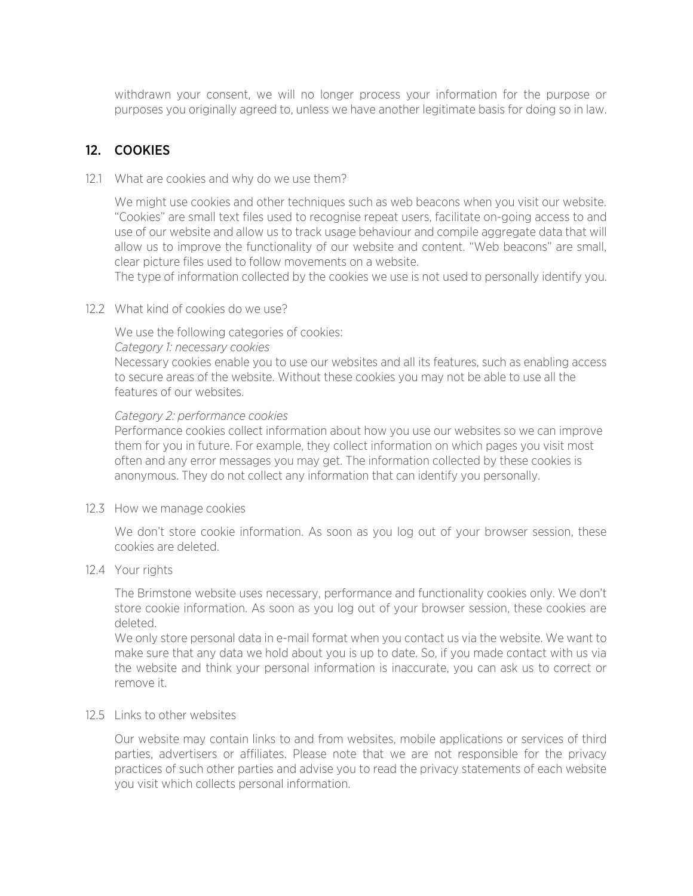withdrawn your consent, we will no longer process your information for the purpose or purposes you originally agreed to, unless we have another legitimate basis for doing so in law.

## 12. COOKIES

12.1 What are cookies and why do we use them?

We might use cookies and other techniques such as web beacons when you visit our website. "Cookies" are small text files used to recognise repeat users, facilitate on-going access to and use of our website and allow us to track usage behaviour and compile aggregate data that will allow us to improve the functionality of our website and content. "Web beacons" are small, clear picture files used to follow movements on a website.

The type of information collected by the cookies we use is not used to personally identify you.

12.2 What kind of cookies do we use?

We use the following categories of cookies:

#### *Category 1: necessary cookies*

Necessary cookies enable you to use our websites and all its features, such as enabling access to secure areas of the website. Without these cookies you may not be able to use all the features of our websites.

#### *Category 2: performance cookies*

Performance cookies collect information about how you use our websites so we can improve them for you in future. For example, they collect information on which pages you visit most often and any error messages you may get. The information collected by these cookies is anonymous. They do not collect any information that can identify you personally.

#### 12.3 How we manage cookies

We don't store cookie information. As soon as you log out of your browser session, these cookies are deleted.

#### 12.4 Your rights

The Brimstone website uses necessary, performance and functionality cookies only. We don't store cookie information. As soon as you log out of your browser session, these cookies are deleted.

We only store personal data in e-mail format when you contact us via the website. We want to make sure that any data we hold about you is up to date. So, if you made contact with us via the website and think your personal information is inaccurate, you can ask us to correct or remove it.

#### 12.5 Links to other websites

Our website may contain links to and from websites, mobile applications or services of third parties, advertisers or affiliates. Please note that we are not responsible for the privacy practices of such other parties and advise you to read the privacy statements of each website you visit which collects personal information.